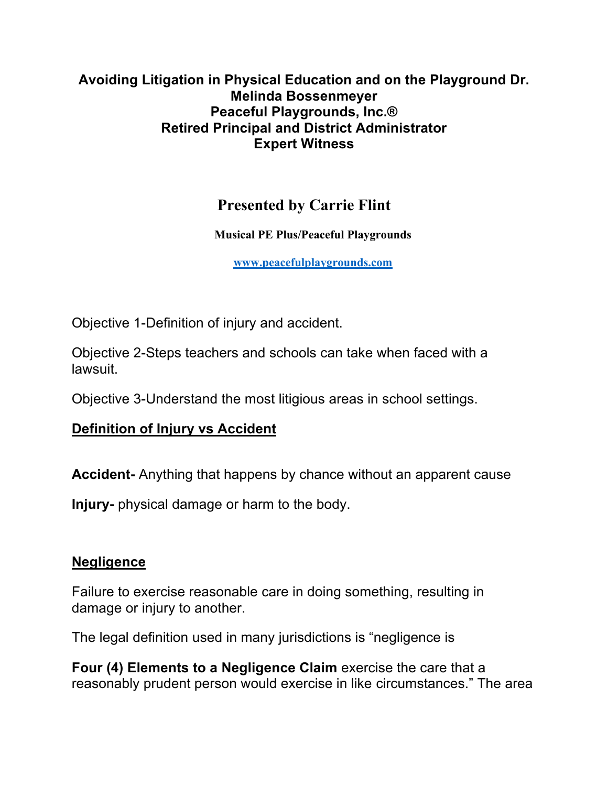#### **Avoiding Litigation in Physical Education and on the Playground Dr. Melinda Bossenmeyer Peaceful Playgrounds, Inc.® Retired Principal and District Administrator Expert Witness**

# **Presented by Carrie Flint**

**Musical PE Plus/Peaceful Playgrounds**

**www.peacefulplaygrounds.com**

Objective 1-Definition of injury and accident.

Objective 2-Steps teachers and schools can take when faced with a lawsuit.

Objective 3-Understand the most litigious areas in school settings.

## **Definition of Injury vs Accident**

**Accident-** Anything that happens by chance without an apparent cause

**Injury-** physical damage or harm to the body.

#### **Negligence**

Failure to exercise reasonable care in doing something, resulting in damage or injury to another.

The legal definition used in many jurisdictions is "negligence is

**Four (4) Elements to a Negligence Claim** exercise the care that a reasonably prudent person would exercise in like circumstances." The area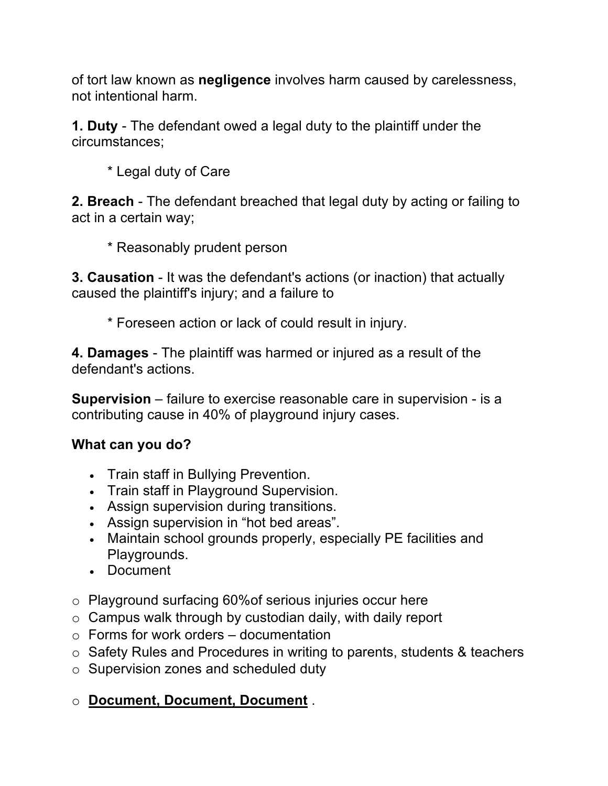of tort law known as **negligence** involves harm caused by carelessness, not intentional harm.

**1. Duty** - The defendant owed a legal duty to the plaintiff under the circumstances;

\* Legal duty of Care

**2. Breach** - The defendant breached that legal duty by acting or failing to act in a certain way;

\* Reasonably prudent person

**3. Causation** - It was the defendant's actions (or inaction) that actually caused the plaintiff's injury; and a failure to

\* Foreseen action or lack of could result in injury.

**4. Damages** - The plaintiff was harmed or injured as a result of the defendant's actions.

**Supervision** – failure to exercise reasonable care in supervision - is a contributing cause in 40% of playground injury cases.

## **What can you do?**

- Train staff in Bullying Prevention.
- Train staff in Playground Supervision.
- Assign supervision during transitions.
- Assign supervision in "hot bed areas".
- Maintain school grounds properly, especially PE facilities and Playgrounds.
- Document
- o Playground surfacing 60%of serious injuries occur here
- $\circ$  Campus walk through by custodian daily, with daily report
- $\circ$  Forms for work orders documentation
- o Safety Rules and Procedures in writing to parents, students & teachers
- o Supervision zones and scheduled duty

o **Document, Document, Document** .